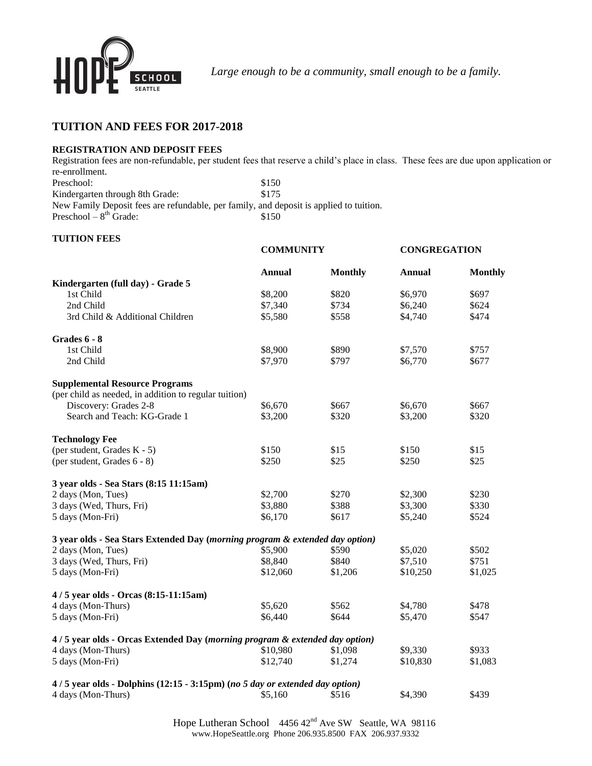

*Large enough to be a community, small enough to be a family.*

# **TUITION AND FEES FOR 2017-2018**

## **REGISTRATION AND DEPOSIT FEES**

Registration fees are non-refundable, per student fees that reserve a child's place in class. These fees are due upon application or re-enrollment. Preschool: \$150

Kindergarten through 8th Grade: \$175 New Family Deposit fees are refundable, per family, and deposit is applied to tuition. Preschool –  $8<sup>th</sup>$  Grade: \$150

## **TUITION FEES**

|                                                                               | <b>COMMUNITY</b> |                | <b>CONGREGATION</b> |                |
|-------------------------------------------------------------------------------|------------------|----------------|---------------------|----------------|
|                                                                               | <b>Annual</b>    | <b>Monthly</b> | <b>Annual</b>       | <b>Monthly</b> |
| Kindergarten (full day) - Grade 5                                             |                  |                |                     |                |
| 1st Child                                                                     | \$8,200          | \$820          | \$6,970             | \$697          |
| 2nd Child                                                                     | \$7,340          | \$734          | \$6,240             | \$624          |
| 3rd Child & Additional Children                                               | \$5,580          | \$558          | \$4,740             | \$474          |
| Grades 6 - 8                                                                  |                  |                |                     |                |
| 1st Child                                                                     | \$8,900          | \$890          | \$7,570             | \$757          |
| 2nd Child                                                                     | \$7,970          | \$797          | \$6,770             | \$677          |
| <b>Supplemental Resource Programs</b>                                         |                  |                |                     |                |
| (per child as needed, in addition to regular tuition)                         |                  |                |                     |                |
| Discovery: Grades 2-8                                                         | \$6,670          | \$667          | \$6,670             | \$667          |
| Search and Teach: KG-Grade 1                                                  | \$3,200          | \$320          | \$3,200             | \$320          |
| <b>Technology Fee</b>                                                         |                  |                |                     |                |
| (per student, Grades K - 5)                                                   | \$150            | \$15           | \$150               | \$15           |
| (per student, Grades 6 - 8)                                                   | \$250            | \$25           | \$250               | \$25           |
| 3 year olds - Sea Stars (8:15 11:15am)                                        |                  |                |                     |                |
| 2 days (Mon, Tues)                                                            | \$2,700          | \$270          | \$2,300             | \$230          |
| 3 days (Wed, Thurs, Fri)                                                      | \$3,880          | \$388          | \$3,300             | \$330          |
| 5 days (Mon-Fri)                                                              | \$6,170          | \$617          | \$5,240             | \$524          |
| 3 year olds - Sea Stars Extended Day (morning program & extended day option)  |                  |                |                     |                |
| 2 days (Mon, Tues)                                                            | \$5,900          | \$590          | \$5,020             | \$502          |
| 3 days (Wed, Thurs, Fri)                                                      | \$8,840          | \$840          | \$7,510             | \$751          |
| 5 days (Mon-Fri)                                                              | \$12,060         | \$1,206        | \$10,250            | \$1,025        |
| 4/5 year olds - Orcas (8:15-11:15am)                                          |                  |                |                     |                |
| 4 days (Mon-Thurs)                                                            | \$5,620          | \$562          | \$4,780             | \$478          |
| 5 days (Mon-Fri)                                                              | \$6,440          | \$644          | \$5,470             | \$547          |
| 4/5 year olds - Orcas Extended Day (morning program & extended day option)    |                  |                |                     |                |
| 4 days (Mon-Thurs)                                                            | \$10,980         | \$1,098        | \$9,330             | \$933          |
| 5 days (Mon-Fri)                                                              | \$12,740         | \$1,274        | \$10,830            | \$1,083        |
| $4/5$ year olds - Dolphins (12:15 - 3:15pm) (no 5 day or extended day option) |                  |                |                     |                |
| 4 days (Mon-Thurs)                                                            | \$5,160          | \$516          | \$4,390             | \$439          |

Hope Lutheran School 4456 42<sup>nd</sup> Ave SW Seattle, WA 98116 www.HopeSeattle.org Phone 206.935.8500 FAX 206.937.9332